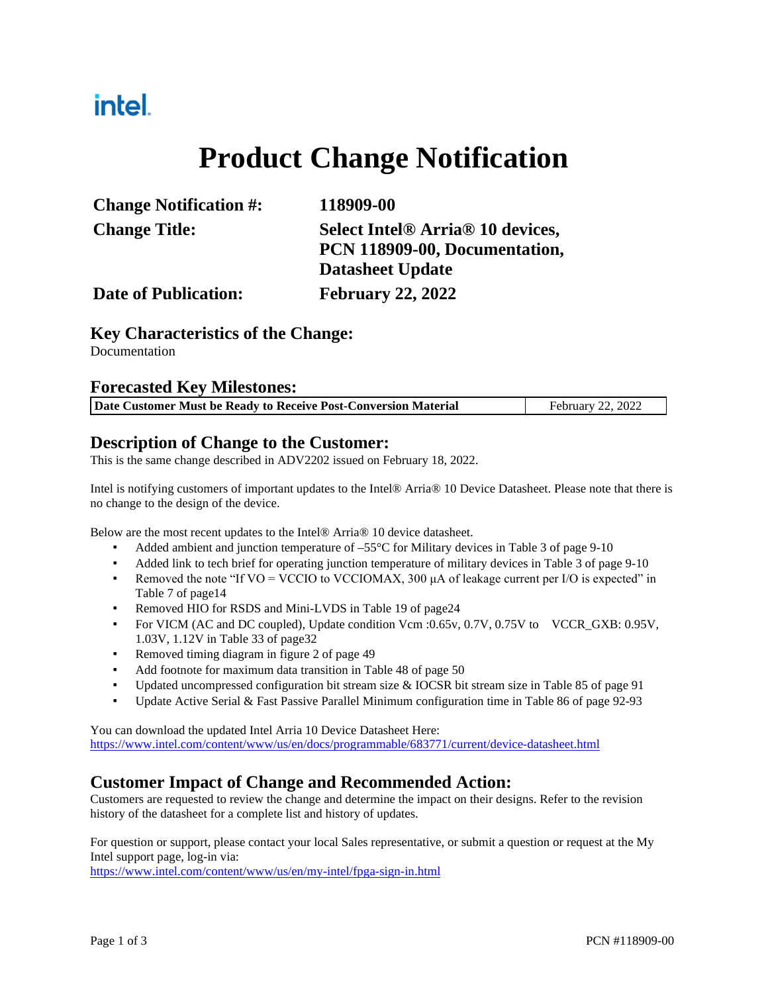## intel.

# **Product Change Notification**

| <b>Change Notification #:</b> | 118909-00                                                |
|-------------------------------|----------------------------------------------------------|
| <b>Change Title:</b>          | Select Intel <sup>®</sup> Arria <sup>®</sup> 10 devices, |
|                               | PCN 118909-00, Documentation,                            |
|                               | <b>Datasheet Update</b>                                  |
| <b>Date of Publication:</b>   | <b>February 22, 2022</b>                                 |

#### **Key Characteristics of the Change:**

Documentation

#### **Forecasted Key Milestones:**

| Date Customer Must be Ready to Receive Post-Conversion Material | February 22, 2022 |
|-----------------------------------------------------------------|-------------------|

#### **Description of Change to the Customer:**

This is the same change described in ADV2202 issued on February 18, 2022.

Intel is notifying customers of important updates to the Intel® Arria® 10 Device Datasheet. Please note that there is no change to the design of the device.

Below are the most recent updates to the Intel® Arria® 10 device datasheet.

- Added ambient and junction temperature of –55°C for Military devices in Table 3 of page 9-10
- Added link to tech brief for operating junction temperature of military devices in Table 3 of page 9-10
- Removed the note "If VO = VCCIO to VCCIOMAX, 300  $\mu$ A of leakage current per I/O is expected" in Table 7 of page14
- Removed HIO for RSDS and Mini-LVDS in Table 19 of page24
- For VICM (AC and DC coupled), Update condition Vcm :0.65v, 0.7V, 0.75V to VCCR\_GXB: 0.95V, 1.03V, 1.12V in Table 33 of page32
- Removed timing diagram in figure 2 of page 49
- Add footnote for maximum data transition in Table 48 of page 50
- Updated uncompressed configuration bit stream size & IOCSR bit stream size in Table 85 of page 91
- Update Active Serial & Fast Passive Parallel Minimum configuration time in Table 86 of page 92-93

You can download the updated Intel Arria 10 Device Datasheet Here: <https://www.intel.com/content/www/us/en/docs/programmable/683771/current/device-datasheet.html>

#### **Customer Impact of Change and Recommended Action:**

Customers are requested to review the change and determine the impact on their designs. Refer to the revision history of the datasheet for a complete list and history of updates.

For question or support, please contact your local Sales representative, or submit a question or request at the My Intel support page, log-in via:

<https://www.intel.com/content/www/us/en/my-intel/fpga-sign-in.html>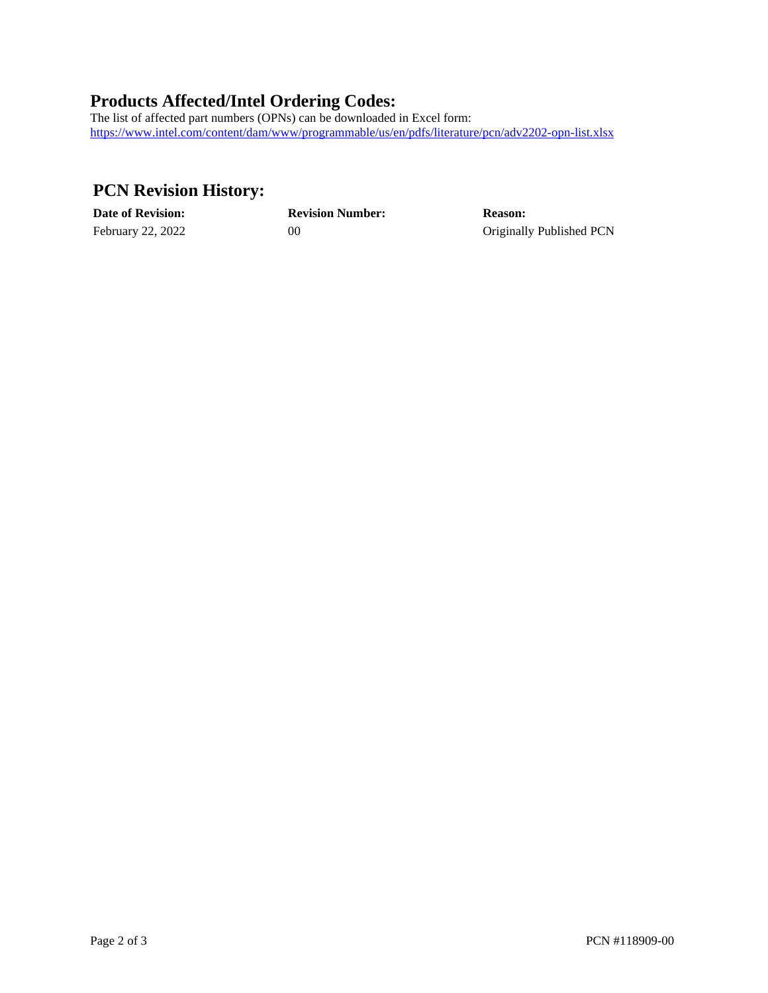### **Products Affected/Intel Ordering Codes:**

The list of affected part numbers (OPNs) can be downloaded in Excel form: <https://www.intel.com/content/dam/www/programmable/us/en/pdfs/literature/pcn/adv2202-opn-list.xlsx>

### **PCN Revision History:**

| <b>Date of Revision:</b> | <b>Revision Number:</b> | <b>Reason:</b>           |
|--------------------------|-------------------------|--------------------------|
| February 22, 2022        |                         | Originally Published PCN |